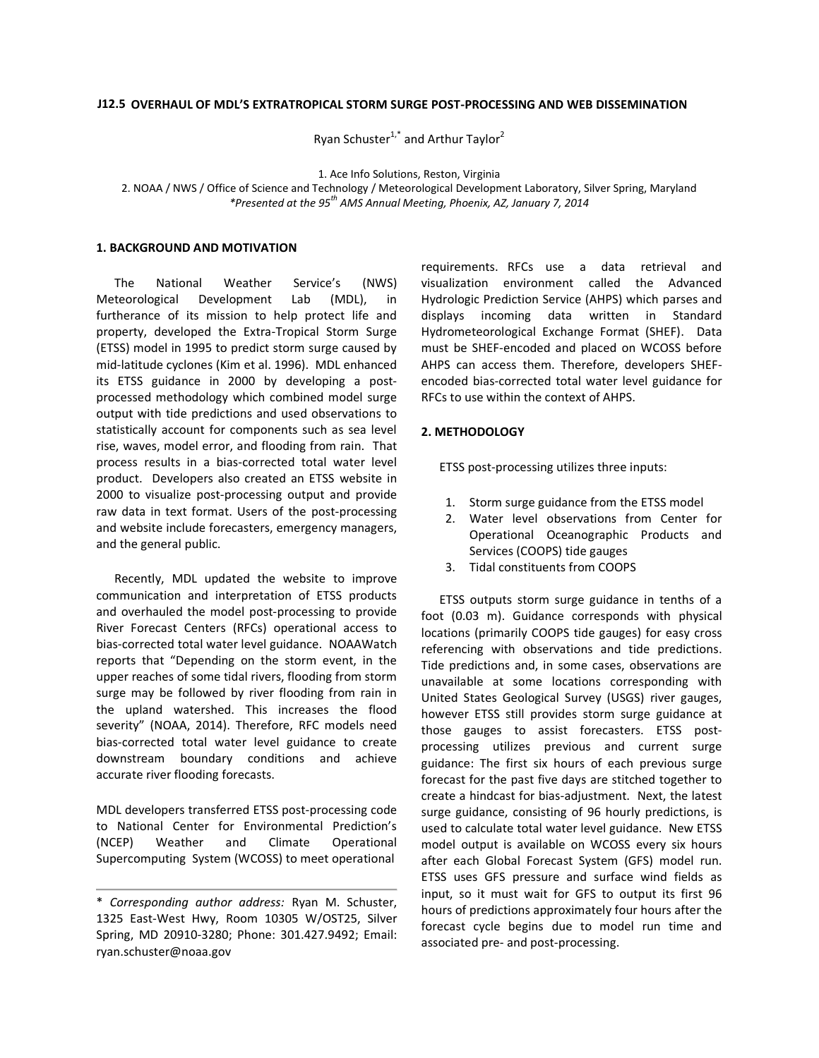#### **OVERHAUL OF MDL'S EXTRATROPICAL STORM SURGE POST-PROCESSING AND WEB DISSEMINATION J12.5**

Ryan Schuster<sup>1,\*</sup> and Arthur Taylor<sup>2</sup>

1. Ace Info Solutions, Reston, Virginia

2. NOAA / NWS / Office of Science and Technology / Meteorological Development Laboratory, Silver Spring, Maryland *\*Presented at the 95th AMS Annual Meeting, Phoenix, AZ, January 7, 2014*

#### **1. BACKGROUND AND MOTIVATION**

The National Weather Service's (NWS) Meteorological Development Lab (MDL), in furtherance of its mission to help protect life and property, developed the Extra-Tropical Storm Surge (ETSS) model in 1995 to predict storm surge caused by mid-latitude cyclones (Kim et al. 1996). MDL enhanced its ETSS guidance in 2000 by developing a postprocessed methodology which combined model surge output with tide predictions and used observations to statistically account for components such as sea level rise, waves, model error, and flooding from rain. That process results in a bias-corrected total water level product. Developers also created an ETSS website in 2000 to visualize post-processing output and provide raw data in text format. Users of the post-processing and website include forecasters, emergency managers, and the general public.

Recently, MDL updated the website to improve communication and interpretation of ETSS products and overhauled the model post-processing to provide River Forecast Centers (RFCs) operational access to bias-corrected total water level guidance. NOAAWatch reports that "Depending on the storm event, in the upper reaches of some tidal rivers, flooding from storm surge may be followed by river flooding from rain in the upland watershed. This increases the flood severity" (NOAA, 2014). Therefore, RFC models need bias-corrected total water level guidance to create downstream boundary conditions and achieve accurate river flooding forecasts.

MDL developers transferred ETSS post-processing code to National Center for Environmental Prediction's (NCEP) Weather and Climate Operational Supercomputing System (WCOSS) to meet operational

visualization environment called the Advanced Hydrologic Prediction Service (AHPS) which parses and displays incoming data written in Standard Hydrometeorological Exchange Format (SHEF). Data must be SHEF-encoded and placed on WCOSS before AHPS can access them. Therefore, developers SHEFencoded bias-corrected total water level guidance for RFCs to use within the context of AHPS.

**2. METHODOLOGY**

ETSS post-processing utilizes three inputs:

Services (COOPS) tide gauges 3. Tidal constituents from COOPS

1. Storm surge guidance from the ETSS model 2. Water level observations from Center for Operational Oceanographic Products and

ETSS outputs storm surge guidance in tenths of a foot (0.03 m). Guidance corresponds with physical locations (primarily COOPS tide gauges) for easy cross referencing with observations and tide predictions. Tide predictions and, in some cases, observations are unavailable at some locations corresponding with United States Geological Survey (USGS) river gauges, however ETSS still provides storm surge guidance at those gauges to assist forecasters. ETSS postprocessing utilizes previous and current surge guidance: The first six hours of each previous surge forecast for the past five days are stitched together to create a hindcast for bias-adjustment. Next, the latest surge guidance, consisting of 96 hourly predictions, is used to calculate total water level guidance. New ETSS model output is available on WCOSS every six hours after each Global Forecast System (GFS) model run. ETSS uses GFS pressure and surface wind fields as input, so it must wait for GFS to output its first 96 hours of predictions approximately four hours after the forecast cycle begins due to model run time and associated pre- and post-processing.

requirements. RFCs use a data retrieval and

<sup>\*</sup> *Corresponding author address:* Ryan M. Schuster, 1325 East-West Hwy, Room 10305 W/OST25, Silver Spring, MD 20910-3280; Phone: 301.427.9492; Email: ryan.schuster@noaa.gov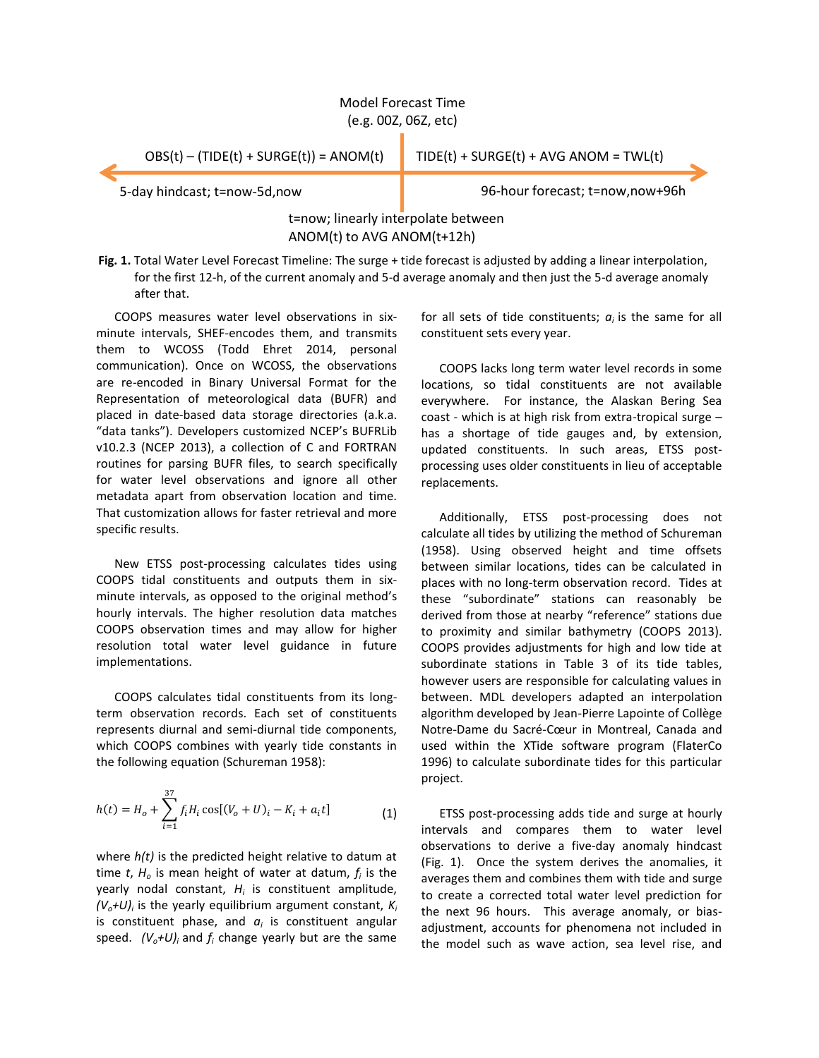# Model Forecast Time (e.g. 00Z, 06Z, etc)

 $OBS(t) - (TIDE(t) + SURGE(t)) = ANOM(t)$  TIDE(t) + SURGE(t) + AVG ANOM = TWL(t)

5-day hindcast; t=now-5d,now 96-hour forecast; t=now,now+96h

# t=now; linearly interpolate between ANOM(t) to AVG ANOM(t+12h)

**Fig. 1.** Total Water Level Forecast Timeline: The surge + tide forecast is adjusted by adding a linear interpolation, for the first 12-h, of the current anomaly and 5-d average anomaly and then just the 5-d average anomaly after that.

COOPS measures water level observations in sixminute intervals, SHEF-encodes them, and transmits them to WCOSS (Todd Ehret 2014, personal communication). Once on WCOSS, the observations are re-encoded in Binary Universal Format for the Representation of meteorological data (BUFR) and placed in date-based data storage directories (a.k.a. "data tanks"). Developers customized NCEP's BUFRLib v10.2.3 (NCEP 2013), a collection of C and FORTRAN routines for parsing BUFR files, to search specifically for water level observations and ignore all other metadata apart from observation location and time. That customization allows for faster retrieval and more specific results.

New ETSS post-processing calculates tides using COOPS tidal constituents and outputs them in sixminute intervals, as opposed to the original method's hourly intervals. The higher resolution data matches COOPS observation times and may allow for higher resolution total water level guidance in future implementations.

COOPS calculates tidal constituents from its longterm observation records. Each set of constituents represents diurnal and semi-diurnal tide components, which COOPS combines with yearly tide constants in the following equation (Schureman 1958):

$$
h(t) = H_o + \sum_{i=1}^{37} f_i H_i \cos[(V_o + U)_i - K_i + a_i t]
$$
 (1)

where *h(t)* is the predicted height relative to datum at time *t*, *H<sup>o</sup>* is mean height of water at datum, *f<sup>i</sup>* is the yearly nodal constant, *H<sup>i</sup>* is constituent amplitude, *(Vo+U)<sup>i</sup>* is the yearly equilibrium argument constant, *K<sup>i</sup>* is constituent phase, and *a<sup>i</sup>* is constituent angular speed.  $(V_o+U)_i$  and  $f_i$  change yearly but are the same

for all sets of tide constituents;  $a_i$  is the same for all constituent sets every year.

COOPS lacks long term water level records in some locations, so tidal constituents are not available everywhere. For instance, the Alaskan Bering Sea coast - which is at high risk from extra-tropical surge – has a shortage of tide gauges and, by extension, updated constituents. In such areas, ETSS postprocessing uses older constituents in lieu of acceptable replacements.

Additionally, ETSS post-processing does not calculate all tides by utilizing the method of Schureman (1958). Using observed height and time offsets between similar locations, tides can be calculated in places with no long-term observation record. Tides at these "subordinate" stations can reasonably be derived from those at nearby "reference" stations due to proximity and similar bathymetry (COOPS 2013). COOPS provides adjustments for high and low tide at subordinate stations in Table 3 of its tide tables, however users are responsible for calculating values in between. MDL developers adapted an interpolation algorithm developed by Jean-Pierre Lapointe of Collège Notre-Dame du Sacré-Cœur in Montreal, Canada and used within the XTide software program (FlaterCo 1996) to calculate subordinate tides for this particular project.

ETSS post-processing adds tide and surge at hourly intervals and compares them to water level observations to derive a five-day anomaly hindcast (Fig. 1). Once the system derives the anomalies, it averages them and combines them with tide and surge to create a corrected total water level prediction for the next 96 hours. This average anomaly, or biasadjustment, accounts for phenomena not included in the model such as wave action, sea level rise, and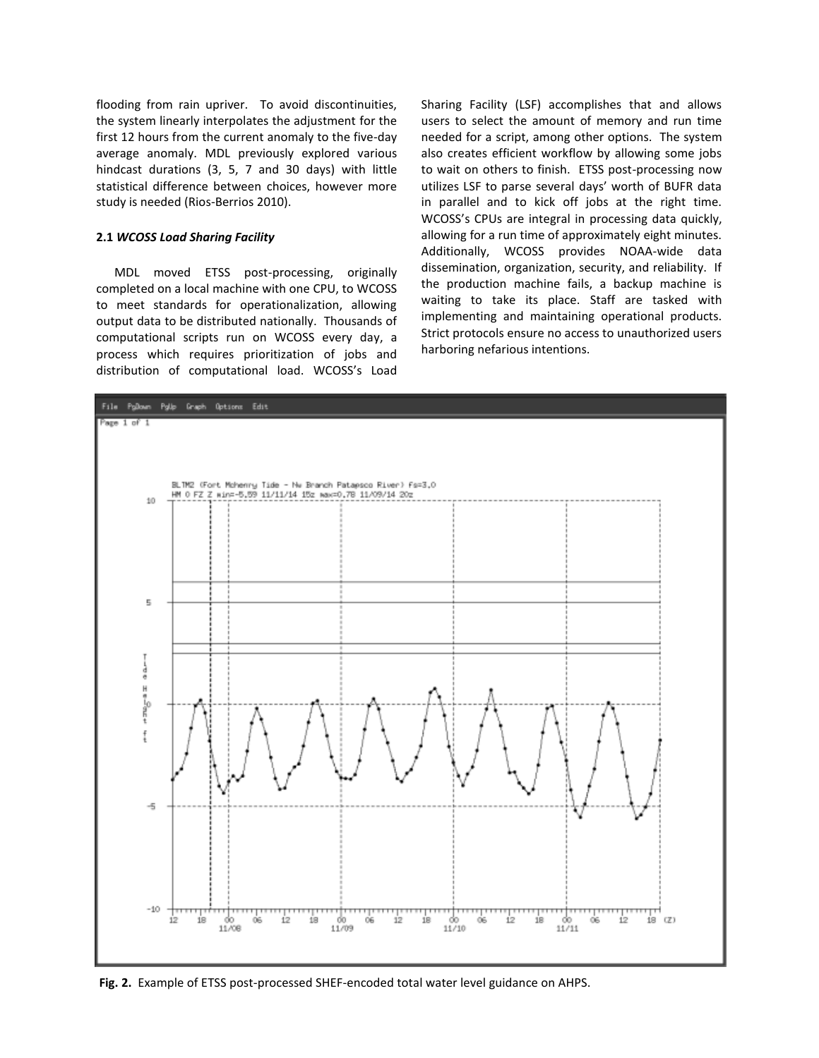flooding from rain upriver. To avoid discontinuities, the system linearly interpolates the adjustment for the first 12 hours from the current anomaly to the five-day average anomaly. MDL previously explored various hindcast durations (3, 5, 7 and 30 days) with little statistical difference between choices, however more study is needed (Rios-Berrios 2010).

#### **2.1** *WCOSS Load Sharing Facility*

MDL moved ETSS post-processing, originally completed on a local machine with one CPU, to WCOSS to meet standards for operationalization, allowing output data to be distributed nationally. Thousands of computational scripts run on WCOSS every day, a process which requires prioritization of jobs and distribution of computational load. WCOSS's Load

Sharing Facility (LSF) accomplishes that and allows users to select the amount of memory and run time needed for a script, among other options. The system also creates efficient workflow by allowing some jobs to wait on others to finish. ETSS post-processing now utilizes LSF to parse several days' worth of BUFR data in parallel and to kick off jobs at the right time. WCOSS's CPUs are integral in processing data quickly, allowing for a run time of approximately eight minutes. Additionally, WCOSS provides NOAA-wide data dissemination, organization, security, and reliability. If the production machine fails, a backup machine is waiting to take its place. Staff are tasked with implementing and maintaining operational products. Strict protocols ensure no access to unauthorized users harboring nefarious intentions.



**Fig. 2.** Example of ETSS post-processed SHEF-encoded total water level guidance on AHPS.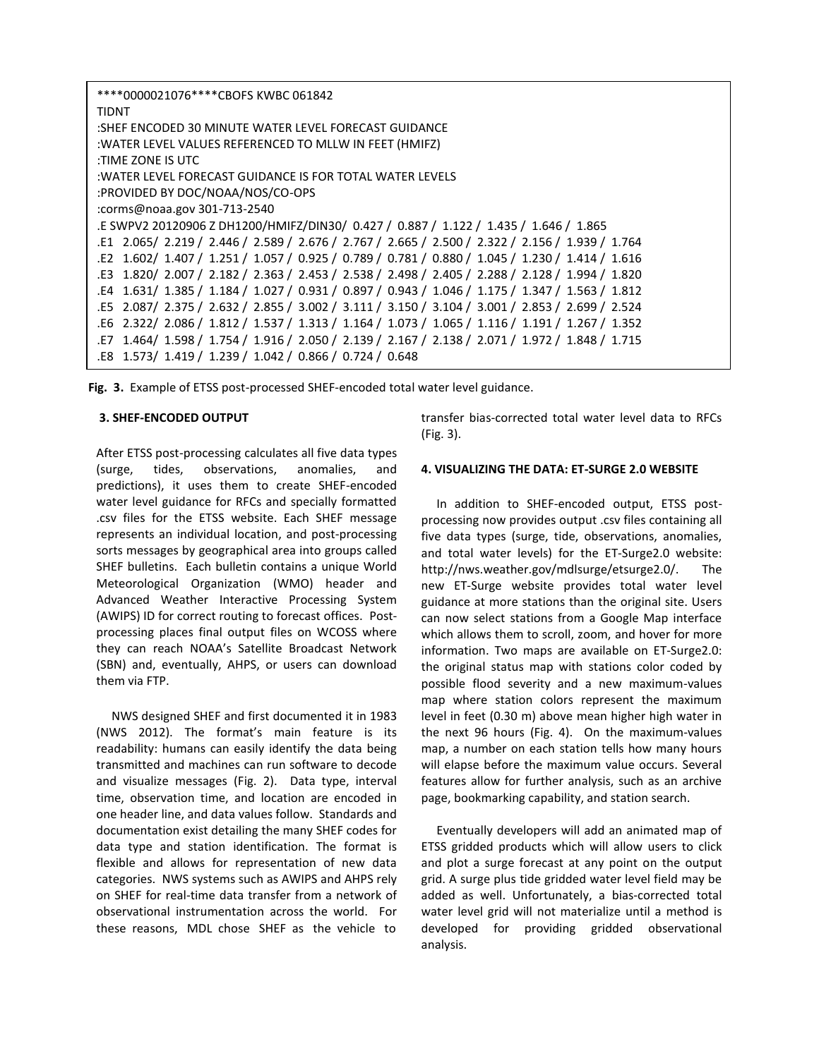| ****0000021076****CBOFS KWBC 061842                                                              |
|--------------------------------------------------------------------------------------------------|
| <b>TIDNT</b>                                                                                     |
| :SHEF ENCODED 30 MINUTE WATER LEVEL FORECAST GUIDANCE                                            |
| :WATER LEVEL VALUES REFERENCED TO MLLW IN FEET (HMIFZ)                                           |
| :TIME ZONE IS UTC                                                                                |
| :WATER LEVEL FORECAST GUIDANCE IS FOR TOTAL WATER LEVELS                                         |
| :PROVIDED BY DOC/NOAA/NOS/CO-OPS                                                                 |
| :corms@noaa.gov 301-713-2540                                                                     |
| E SWPV2 20120906 Z DH1200/HMIFZ/DIN30/ 0.427 / 0.887 / 1.122 / 1.435 / 1.646 / 1.865             |
| .E1 2.065/ 2.219 / 2.446 / 2.589 / 2.676 / 2.767 / 2.665 / 2.500 / 2.322 / 2.156 / 1.939 / 1.764 |
| .E2 1.602/ 1.407/ 1.251/ 1.057/ 0.925/ 0.789/ 0.781/ 0.880/ 1.045/ 1.230/ 1.414/ 1.616           |
| .63 1.820/ 2.007 / 2.182 / 2.363 / 2.453 / 2.538 / 2.498 / 2.405 / 2.288 / 2.128 / 1.994 / 1.820 |
| .631 / 1.385 / 1.184 / 1.027 / 0.931 / 0.897 / 0.943 / 1.046 / 1.175 / 1.347 / 1.563 / 1.812     |
| .E5 2.087/ 2.375 / 2.632 / 2.855 / 3.002 / 3.111 / 3.150 / 3.104 / 3.001 / 2.853 / 2.699 / 2.524 |
| .E6 2.322/ 2.086 / 1.812 / 1.537 / 1.313 / 1.164 / 1.073 / 1.065 / 1.116 / 1.191 / 1.267 / 1.352 |
| .27 1.464/ 1.598 / 1.754 / 1.916 / 2.050 / 2.139 / 2.167 / 2.138 / 2.071 / 1.972 / 1.848 / 1.715 |
| .E8 1.573/ 1.419 / 1.239 / 1.042 / 0.866 / 0.724 / 0.648                                         |

**Fig. 3.** Example of ETSS post-processed SHEF-encoded total water level guidance.

### **3. SHEF-ENCODED OUTPUT**

After ETSS post-processing calculates all five data types (surge, tides, observations, anomalies, and predictions), it uses them to create SHEF-encoded water level guidance for RFCs and specially formatted .csv files for the ETSS website. Each SHEF message represents an individual location, and post-processing sorts messages by geographical area into groups called SHEF bulletins. Each bulletin contains a unique World Meteorological Organization (WMO) header and Advanced Weather Interactive Processing System (AWIPS) ID for correct routing to forecast offices. Postprocessing places final output files on WCOSS where they can reach NOAA's Satellite Broadcast Network (SBN) and, eventually, AHPS, or users can download them via FTP.

 NWS designed SHEF and first documented it in 1983 (NWS 2012). The format's main feature is its readability: humans can easily identify the data being transmitted and machines can run software to decode and visualize messages (Fig. 2). Data type, interval time, observation time, and location are encoded in one header line, and data values follow. Standards and documentation exist detailing the many SHEF codes for data type and station identification. The format is flexible and allows for representation of new data categories. NWS systems such as AWIPS and AHPS rely on SHEF for real-time data transfer from a network of observational instrumentation across the world. For these reasons, MDL chose SHEF as the vehicle to

transfer bias-corrected total water level data to RFCs (Fig. 3).

#### **4. VISUALIZING THE DATA: ET-SURGE 2.0 WEBSITE**

 In addition to SHEF-encoded output, ETSS postprocessing now provides output .csv files containing all five data types (surge, tide, observations, anomalies, and total water levels) for the ET-Surge2.0 website: http://nws.weather.gov/mdlsurge/etsurge2.0/. The new ET-Surge website provides total water level guidance at more stations than the original site. Users can now select stations from a Google Map interface which allows them to scroll, zoom, and hover for more information. Two maps are available on ET-Surge2.0: the original status map with stations color coded by possible flood severity and a new maximum-values map where station colors represent the maximum level in feet (0.30 m) above mean higher high water in the next 96 hours (Fig. 4). On the maximum-values map, a number on each station tells how many hours will elapse before the maximum value occurs. Several features allow for further analysis, such as an archive page, bookmarking capability, and station search.

 Eventually developers will add an animated map of ETSS gridded products which will allow users to click and plot a surge forecast at any point on the output grid. A surge plus tide gridded water level field may be added as well. Unfortunately, a bias-corrected total water level grid will not materialize until a method is developed for providing gridded observational analysis.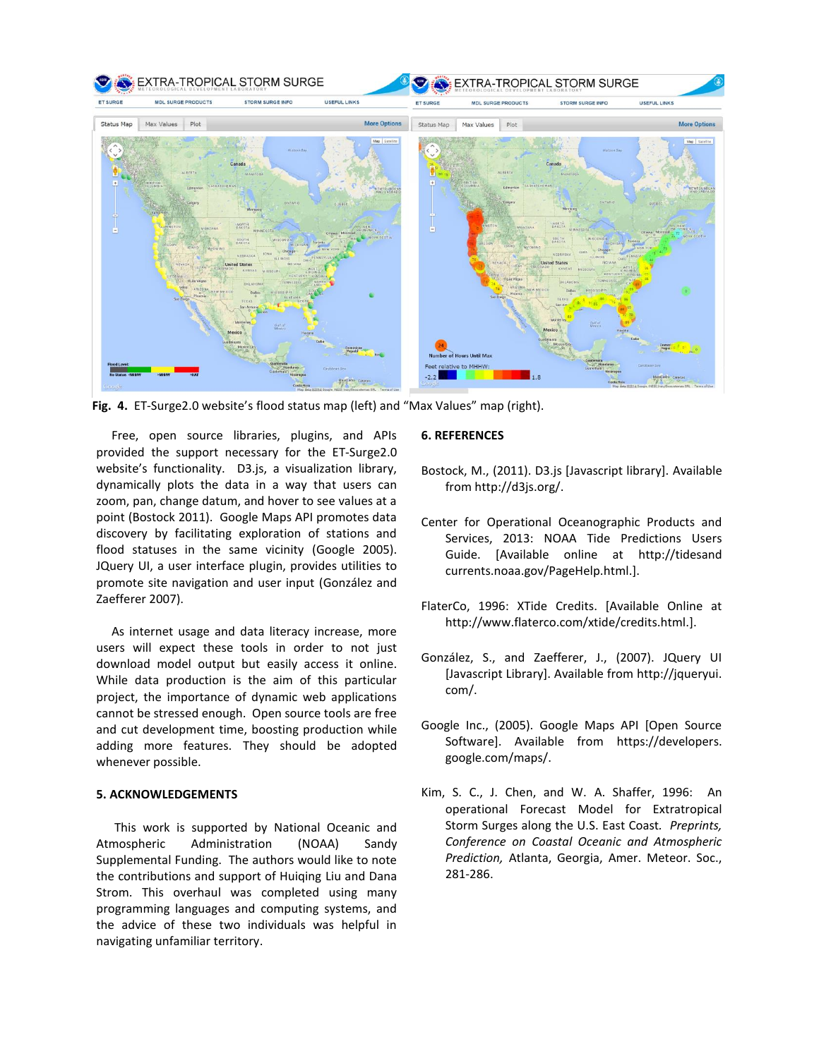

**Fig. 4.** ET-Surge2.0 website's flood status map (left) and "Max Values" map (right).

 Free, open source libraries, plugins, and APIs provided the support necessary for the ET-Surge2.0 website's functionality. D3.js, a visualization library, dynamically plots the data in a way that users can zoom, pan, change datum, and hover to see values at a point (Bostock 2011). Google Maps API promotes data discovery by facilitating exploration of stations and flood statuses in the same vicinity (Google 2005). JQuery UI, a user interface plugin, provides utilities to promote site navigation and user input (González and Zaefferer 2007).

 As internet usage and data literacy increase, more users will expect these tools in order to not just download model output but easily access it online. While data production is the aim of this particular project, the importance of dynamic web applications cannot be stressed enough. Open source tools are free and cut development time, boosting production while adding more features. They should be adopted whenever possible.

## **5. ACKNOWLEDGEMENTS**

This work is supported by National Oceanic and Atmospheric Administration (NOAA) Sandy Supplemental Funding. The authors would like to note the contributions and support of Huiqing Liu and Dana Strom. This overhaul was completed using many programming languages and computing systems, and the advice of these two individuals was helpful in navigating unfamiliar territory.

## **6. REFERENCES**

- Bostock, M., (2011). D3.js [Javascript library]. Available from http://d3js.org/.
- Center for Operational Oceanographic Products and Services, 2013: NOAA Tide Predictions Users Guide. [Available online at http://tidesand currents.noaa.gov/PageHelp.html.].
- FlaterCo, 1996: XTide Credits. [Available Online at http://www.flaterco.com/xtide/credits.html.].
- González, S., and Zaefferer, J., (2007). JQuery UI [Javascript Library]. Available from http://jqueryui. com/.
- Google Inc., (2005). Google Maps API [Open Source Software]. Available from https://developers. google.com/maps/.
- Kim, S. C., J. Chen, and W. A. Shaffer, 1996: An operational Forecast Model for Extratropical Storm Surges along the U.S. East Coast*. Preprints, Conference on Coastal Oceanic and Atmospheric Prediction,* Atlanta, Georgia, Amer. Meteor. Soc., 281-286.